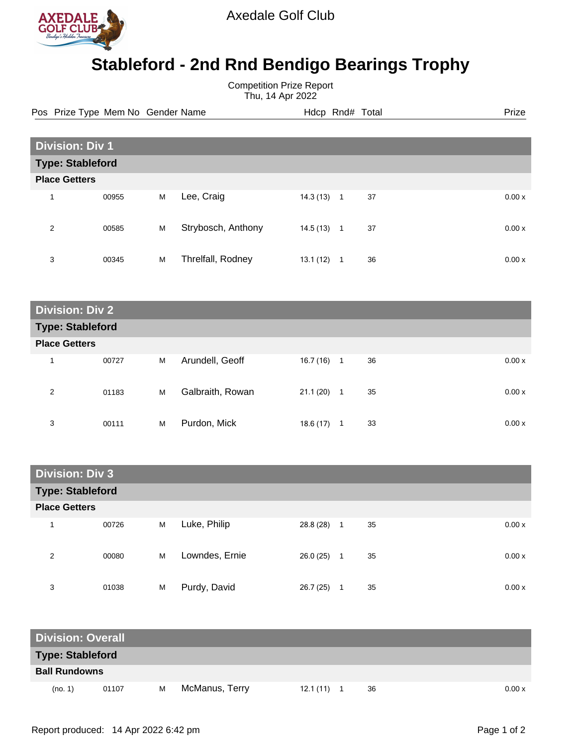

Axedale Golf Club

## **Stableford - 2nd Rnd Bendigo Bearings Trophy**

Competition Prize Report Thu, 14 Apr 2022

Pos Prize Type Mem No Gender Name **Heath Hotel And According Prize** Prize

| <b>Division: Div 1</b>  |       |   |                    |           |                |    |  |       |  |
|-------------------------|-------|---|--------------------|-----------|----------------|----|--|-------|--|
| <b>Type: Stableford</b> |       |   |                    |           |                |    |  |       |  |
| <b>Place Getters</b>    |       |   |                    |           |                |    |  |       |  |
| 4                       | 00955 | M | Lee, Craig         | 14.3(13)  | $\mathbf{1}$   | 37 |  | 0.00x |  |
| 2                       | 00585 | M | Strybosch, Anthony | 14.5 (13) | $\overline{1}$ | 37 |  | 0.00x |  |
| 3                       | 00345 | M | Threlfall, Rodney  | 13.1(12)  | 1              | 36 |  | 0.00x |  |

| <b>Division: Div 2</b>  |       |   |                  |           |                          |    |  |       |  |
|-------------------------|-------|---|------------------|-----------|--------------------------|----|--|-------|--|
| <b>Type: Stableford</b> |       |   |                  |           |                          |    |  |       |  |
| <b>Place Getters</b>    |       |   |                  |           |                          |    |  |       |  |
| 1                       | 00727 | M | Arundell, Geoff  | 16.7 (16) | $\overline{\phantom{1}}$ | 36 |  | 0.00x |  |
| 2                       | 01183 | М | Galbraith, Rowan | 21.1(20)  | $\mathbf 1$              | 35 |  | 0.00x |  |
| 3                       | 00111 | M | Purdon, Mick     | 18.6 (17) |                          | 33 |  | 0.00x |  |

| <b>Division: Div 3</b>  |       |   |                |           |                |             |  |  |  |
|-------------------------|-------|---|----------------|-----------|----------------|-------------|--|--|--|
| <b>Type: Stableford</b> |       |   |                |           |                |             |  |  |  |
| <b>Place Getters</b>    |       |   |                |           |                |             |  |  |  |
| 1                       | 00726 | M | Luke, Philip   | 28.8 (28) | $\overline{1}$ | 35<br>0.00x |  |  |  |
| 2                       | 00080 | M | Lowndes, Ernie | 26.0(25)  | -1             | 35<br>0.00x |  |  |  |
| 3                       | 01038 | M | Purdy, David   | 26.7 (25) |                | 35<br>0.00x |  |  |  |

| <b>Division: Overall</b> |       |   |                |          |    |        |
|--------------------------|-------|---|----------------|----------|----|--------|
| <b>Type: Stableford</b>  |       |   |                |          |    |        |
| <b>Ball Rundowns</b>     |       |   |                |          |    |        |
| (no. 1)                  | 01107 | м | McManus, Terry | 12.1(11) | 36 | 0.00 x |